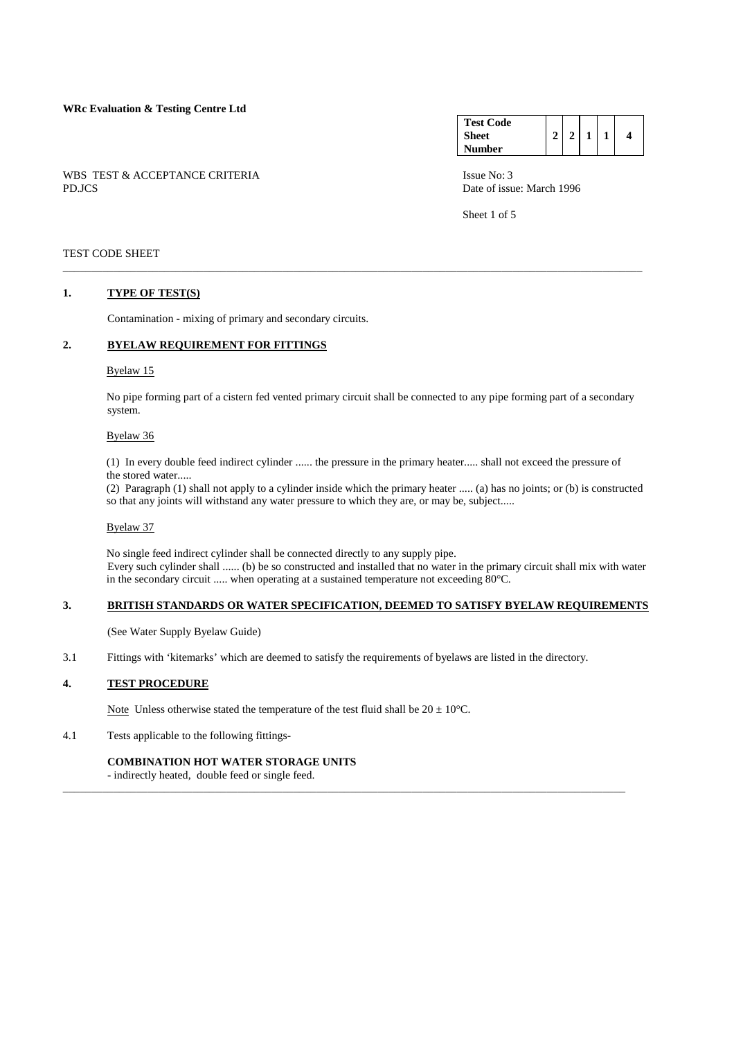### **WRc Evaluation & Testing Centre Ltd**

WBS TEST & ACCEPTANCE CRITERIA ISSUE No: 3 PD.JCS Date of issue: March 1996

#### **Test Code Sheet Number**   $2 | 2 | 1 | 1 | 4$

Sheet 1 of 5

### TEST CODE SHEET

### **1. TYPE OF TEST(S)**

Contamination - mixing of primary and secondary circuits.

# **2. BYELAW REQUIREMENT FOR FITTINGS**

# Byelaw 15

 No pipe forming part of a cistern fed vented primary circuit shall be connected to any pipe forming part of a secondary system.

\_\_\_\_\_\_\_\_\_\_\_\_\_\_\_\_\_\_\_\_\_\_\_\_\_\_\_\_\_\_\_\_\_\_\_\_\_\_\_\_\_\_\_\_\_\_\_\_\_\_\_\_\_\_\_\_\_\_\_\_\_\_\_\_\_\_\_\_\_\_\_\_\_\_\_\_\_\_\_\_\_\_\_\_\_\_\_\_\_\_\_\_\_\_\_\_\_\_\_\_\_\_\_

### Byelaw 36

 (1) In every double feed indirect cylinder ...... the pressure in the primary heater..... shall not exceed the pressure of the stored water.....

 (2) Paragraph (1) shall not apply to a cylinder inside which the primary heater ..... (a) has no joints; or (b) is constructed so that any joints will withstand any water pressure to which they are, or may be, subject.....

### Byelaw 37

 No single feed indirect cylinder shall be connected directly to any supply pipe. Every such cylinder shall ...... (b) be so constructed and installed that no water in the primary circuit shall mix with water in the secondary circuit ..... when operating at a sustained temperature not exceeding 80°C.

# **3. BRITISH STANDARDS OR WATER SPECIFICATION, DEEMED TO SATISFY BYELAW REQUIREMENTS**

\_\_\_\_\_\_\_\_\_\_\_\_\_\_\_\_\_\_\_\_\_\_\_\_\_\_\_\_\_\_\_\_\_\_\_\_\_\_\_\_\_\_\_\_\_\_\_\_\_\_\_\_\_\_\_\_\_\_\_\_\_\_\_\_\_\_\_\_\_\_\_\_\_\_\_\_\_\_\_\_\_\_\_\_\_\_\_\_\_\_\_\_\_\_\_\_\_\_\_\_

(See Water Supply Byelaw Guide)

3.1 Fittings with 'kitemarks' which are deemed to satisfy the requirements of byelaws are listed in the directory.

# **4. TEST PROCEDURE**

Note Unless otherwise stated the temperature of the test fluid shall be  $20 \pm 10^{\circ}$ C.

# 4.1 Tests applicable to the following fittings-

# **COMBINATION HOT WATER STORAGE UNITS**

- indirectly heated, double feed or single feed.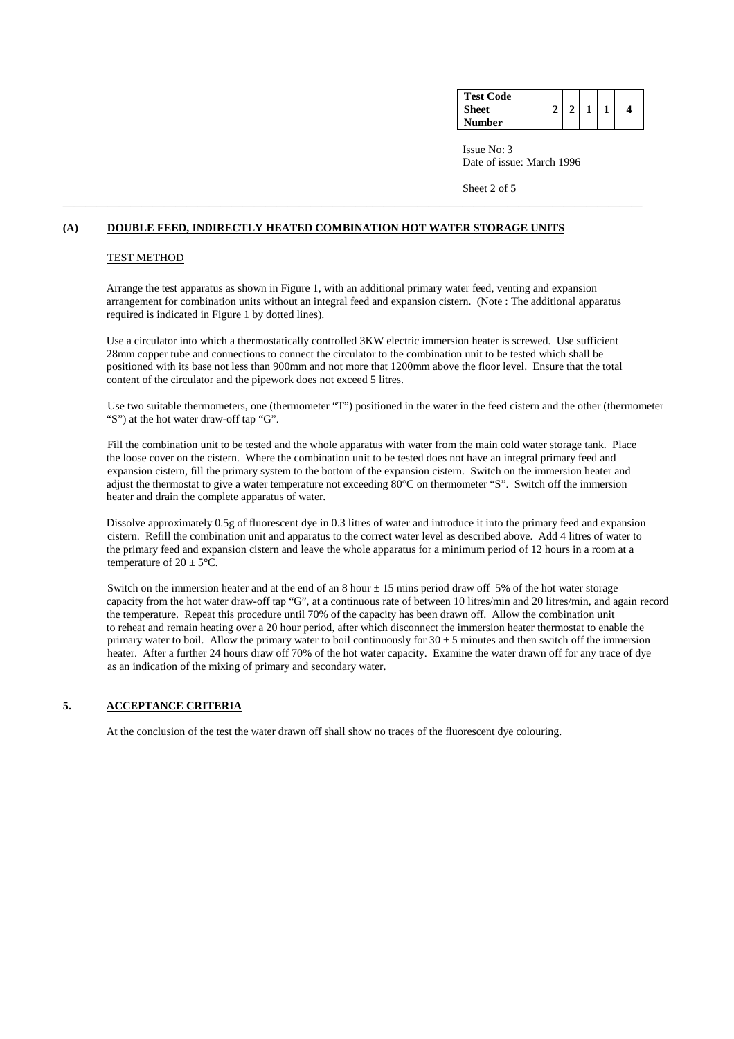| <b>Test Code</b> |  |  |   |
|------------------|--|--|---|
| <b>Sheet</b>     |  |  | 4 |
| Number           |  |  |   |

Sheet 2 of 5

### **(A) DOUBLE FEED, INDIRECTLY HEATED COMBINATION HOT WATER STORAGE UNITS**

#### TEST METHOD

 Arrange the test apparatus as shown in Figure 1, with an additional primary water feed, venting and expansion arrangement for combination units without an integral feed and expansion cistern. (Note : The additional apparatus required is indicated in Figure 1 by dotted lines).

\_\_\_\_\_\_\_\_\_\_\_\_\_\_\_\_\_\_\_\_\_\_\_\_\_\_\_\_\_\_\_\_\_\_\_\_\_\_\_\_\_\_\_\_\_\_\_\_\_\_\_\_\_\_\_\_\_\_\_\_\_\_\_\_\_\_\_\_\_\_\_\_\_\_\_\_\_\_\_\_\_\_\_\_\_\_\_\_\_\_\_\_\_\_\_\_\_\_\_\_\_\_\_

 Use a circulator into which a thermostatically controlled 3KW electric immersion heater is screwed. Use sufficient 28mm copper tube and connections to connect the circulator to the combination unit to be tested which shall be positioned with its base not less than 900mm and not more that 1200mm above the floor level. Ensure that the total content of the circulator and the pipework does not exceed 5 litres.

 Use two suitable thermometers, one (thermometer "T") positioned in the water in the feed cistern and the other (thermometer "S") at the hot water draw-off tap "G".

 Fill the combination unit to be tested and the whole apparatus with water from the main cold water storage tank. Place the loose cover on the cistern. Where the combination unit to be tested does not have an integral primary feed and expansion cistern, fill the primary system to the bottom of the expansion cistern. Switch on the immersion heater and adjust the thermostat to give a water temperature not exceeding 80°C on thermometer "S". Switch off the immersion heater and drain the complete apparatus of water.

 Dissolve approximately 0.5g of fluorescent dye in 0.3 litres of water and introduce it into the primary feed and expansion cistern. Refill the combination unit and apparatus to the correct water level as described above. Add 4 litres of water to the primary feed and expansion cistern and leave the whole apparatus for a minimum period of 12 hours in a room at a temperature of  $20 \pm 5^{\circ}$ C.

Switch on the immersion heater and at the end of an 8 hour  $\pm$  15 mins period draw off 5% of the hot water storage capacity from the hot water draw-off tap "G", at a continuous rate of between 10 litres/min and 20 litres/min, and again record the temperature. Repeat this procedure until 70% of the capacity has been drawn off. Allow the combination unit to reheat and remain heating over a 20 hour period, after which disconnect the immersion heater thermostat to enable the primary water to boil. Allow the primary water to boil continuously for  $30 \pm 5$  minutes and then switch off the immersion heater. After a further 24 hours draw off 70% of the hot water capacity. Examine the water drawn off for any trace of dye as an indication of the mixing of primary and secondary water.

### **5. ACCEPTANCE CRITERIA**

At the conclusion of the test the water drawn off shall show no traces of the fluorescent dye colouring.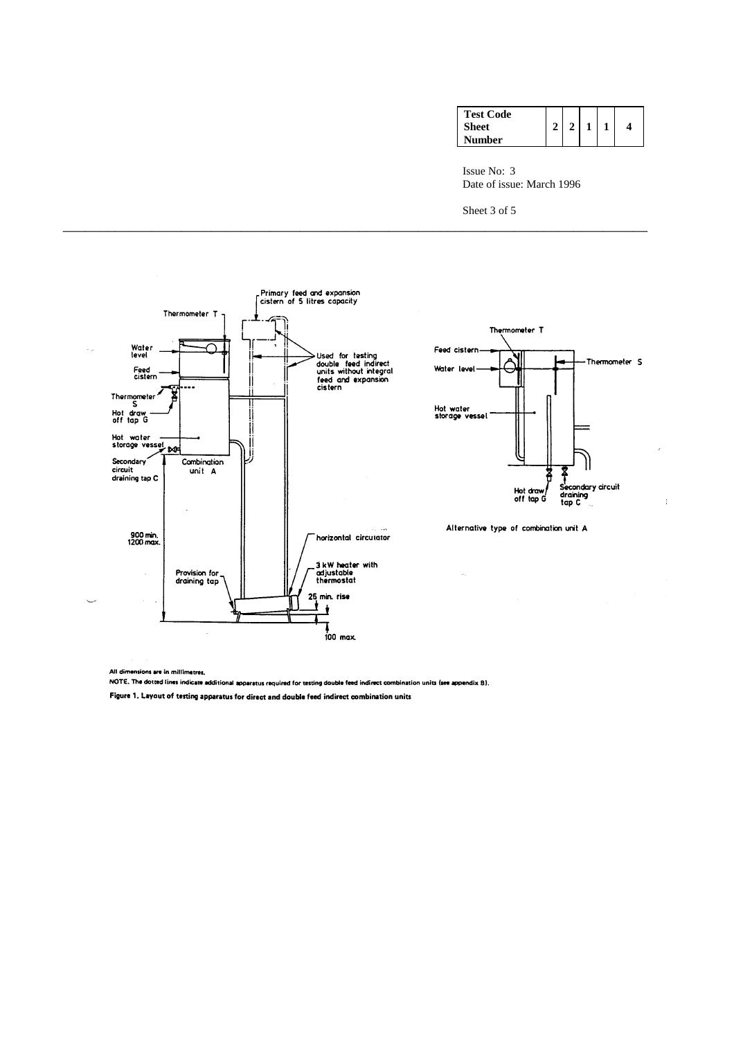| <b>Test Code</b> |  |  |   |
|------------------|--|--|---|
| <b>Sheet</b>     |  |  | 4 |
| Number           |  |  |   |

Sheet 3 of 5

\_\_\_\_\_\_\_\_\_\_\_\_\_\_\_\_\_\_\_\_\_\_\_\_\_\_\_\_\_\_\_\_\_\_\_\_\_\_\_\_\_\_\_\_\_\_\_\_\_\_\_\_\_\_\_\_\_\_\_\_\_\_\_\_\_\_\_\_\_\_\_\_\_\_\_\_\_\_\_





Ť

Alternative type of combination unit A

 $\hat{\epsilon}_i$ 

All dimensions are in millimetres.

NOTE. The dotted lines indicate additional apparatus required for testing double feed indirect combination units (see appendix B).

Figure 1. Layout of testing apparatus for direct and double feed indirect combination units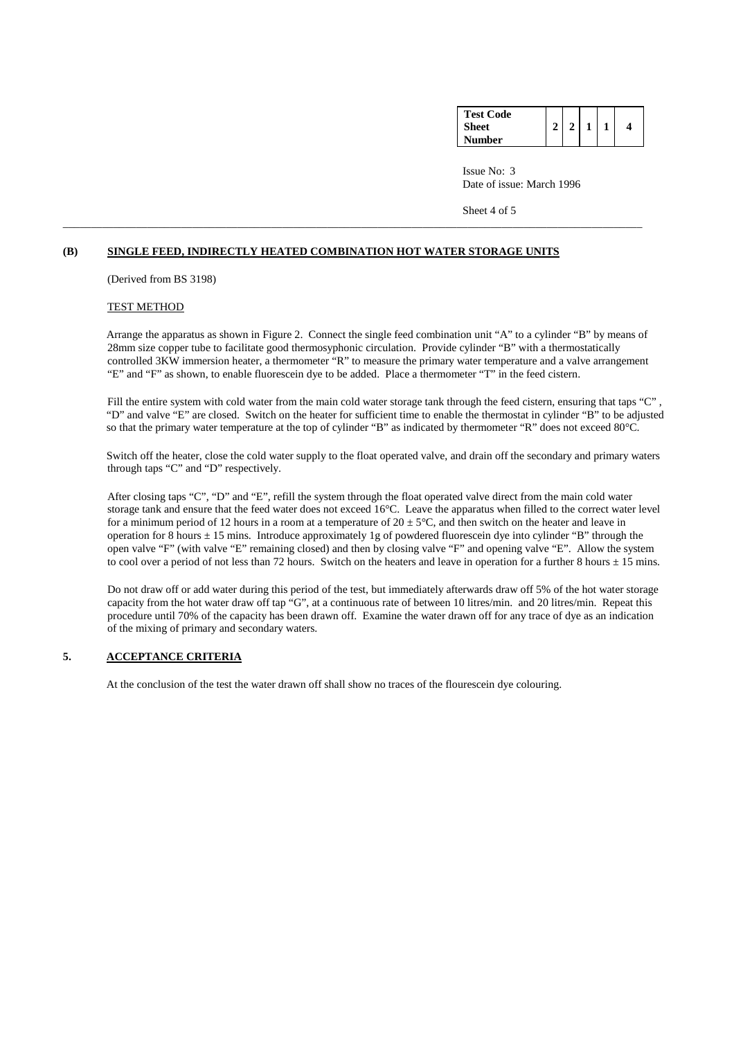| <b>Test Code</b> |  |  |   |
|------------------|--|--|---|
| <b>Sheet</b>     |  |  | 4 |
| Number           |  |  |   |

Sheet 4 of 5

# **(B) SINGLE FEED, INDIRECTLY HEATED COMBINATION HOT WATER STORAGE UNITS**

\_\_\_\_\_\_\_\_\_\_\_\_\_\_\_\_\_\_\_\_\_\_\_\_\_\_\_\_\_\_\_\_\_\_\_\_\_\_\_\_\_\_\_\_\_\_\_\_\_\_\_\_\_\_\_\_\_\_\_\_\_\_\_\_\_\_\_\_\_\_\_\_\_\_\_\_\_\_\_\_\_\_\_\_\_\_\_\_\_\_\_\_\_\_\_\_\_\_\_\_\_\_\_

(Derived from BS 3198)

### TEST METHOD

Arrange the apparatus as shown in Figure 2. Connect the single feed combination unit "A" to a cylinder "B" by means of 28mm size copper tube to facilitate good thermosyphonic circulation. Provide cylinder "B" with a thermostatically controlled 3KW immersion heater, a thermometer "R" to measure the primary water temperature and a valve arrangement "E" and "F" as shown, to enable fluorescein dye to be added. Place a thermometer "T" in the feed cistern.

Fill the entire system with cold water from the main cold water storage tank through the feed cistern, ensuring that taps "C". "D" and valve "E" are closed. Switch on the heater for sufficient time to enable the thermostat in cylinder "B" to be adjusted so that the primary water temperature at the top of cylinder "B" as indicated by thermometer "R" does not exceed 80°C.

 Switch off the heater, close the cold water supply to the float operated valve, and drain off the secondary and primary waters through taps "C" and "D" respectively.

 After closing taps "C", "D" and "E", refill the system through the float operated valve direct from the main cold water storage tank and ensure that the feed water does not exceed 16°C. Leave the apparatus when filled to the correct water level for a minimum period of 12 hours in a room at a temperature of  $20 \pm 5^{\circ}$ C, and then switch on the heater and leave in operation for 8 hours  $\pm$  15 mins. Introduce approximately 1g of powdered fluorescein dye into cylinder "B" through the open valve "F" (with valve "E" remaining closed) and then by closing valve "F" and opening valve "E". Allow the system to cool over a period of not less than 72 hours. Switch on the heaters and leave in operation for a further 8 hours  $\pm 15$  mins.

 Do not draw off or add water during this period of the test, but immediately afterwards draw off 5% of the hot water storage capacity from the hot water draw off tap "G", at a continuous rate of between 10 litres/min. and 20 litres/min. Repeat this procedure until 70% of the capacity has been drawn off. Examine the water drawn off for any trace of dye as an indication of the mixing of primary and secondary waters.

# **5. ACCEPTANCE CRITERIA**

At the conclusion of the test the water drawn off shall show no traces of the flourescein dye colouring.